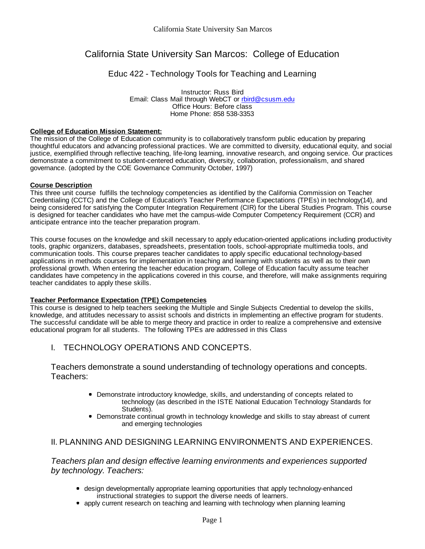# California State University San Marcos: College of Education

## Educ 422 - Technology Tools for Teaching and Learning

Instructor: Russ Bird Email: Class Mail through WebCT or rbird@csusm.edu Office Hours: Before class Home Phone: 858 538-3353

### **College of Education Mission Statement:**

The mission of the College of Education community is to collaboratively transform public education by preparing thoughtful educators and advancing professional practices. We are committed to diversity, educational equity, and social justice, exemplified through reflective teaching, life-long learning, innovative research, and ongoing service. Our practices demonstrate a commitment to student-centered education, diversity, collaboration, professionalism, and shared governance. (adopted by the COE Governance Community October, 1997)

### **Course Description**

This three unit course fulfills the technology competencies as identified by the California Commission on Teacher Credentialing (CCTC) and the College of Education's Teacher Performance Expectations (TPEs) in technology(14), and being considered for satisfying the Computer Integration Requirement (CIR) for the Liberal Studies Program. This course is designed for teacher candidates who have met the campus-wide Computer Competency Requirement (CCR) and anticipate entrance into the teacher preparation program.

This course focuses on the knowledge and skill necessary to apply education-oriented applications including productivity tools, graphic organizers, databases, spreadsheets, presentation tools, school-appropriate multimedia tools, and communication tools. This course prepares teacher candidates to apply specific educational technology-based applications in methods courses for implementation in teaching and learning with students as well as to their own professional growth. When entering the teacher education program, College of Education faculty assume teacher candidates have competency in the applications covered in this course, and therefore, will make assignments requiring teacher candidates to apply these skills.

#### **Teacher Performance Expectation (TPE) Competencies**

This course is designed to help teachers seeking the Multiple and Single Subjects Credential to develop the skills, knowledge, and attitudes necessary to assist schools and districts in implementing an effective program for students. The successful candidate will be able to merge theory and practice in order to realize a comprehensive and extensive educational program for all students. The following TPEs are addressed in this Class

I. TECHNOLOGY OPERATIONS AND CONCEPTS.

Teachers demonstrate a sound understanding of technology operations and concepts. Teachers:

- Demonstrate introductory knowledge, skills, and understanding of concepts related to technology (as described in the ISTE National Education Technology Standards for Students).
- **Demonstrate continual growth in technology knowledge and skills to stay abreast of current** and emerging technologies

## II. PLANNING AND DESIGNING LEARNING ENVIRONMENTS AND EXPERIENCES.

*Teachers plan and design effective learning environments and experiences supported by technology. Teachers:*

- **design developmentally appropriate learning opportunities that apply technology-enhanced** instructional strategies to support the diverse needs of learners.
- **apply current research on teaching and learning with technology when planning learning**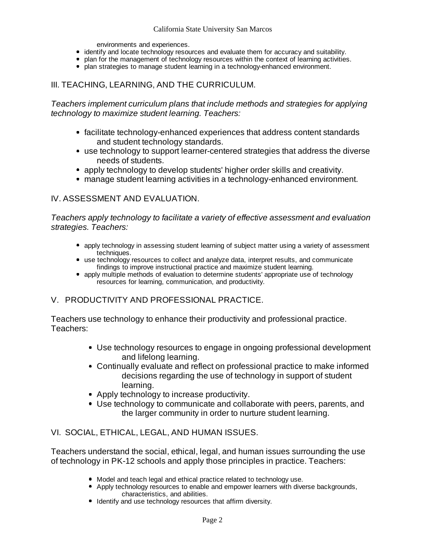environments and experiences.

- $\bullet$  identify and locate technology resources and evaluate them for accuracy and suitability.
- plan for the management of technology resources within the context of learning activities.
- plan strategies to manage student learning in a technology-enhanced environment.

## III. TEACHING, LEARNING, AND THE CURRICULUM.

## *Teachers implement curriculum plans that include methods and strategies for applying technology to maximize student learning. Teachers:*

- facilitate technology-enhanced experiences that address content standards and student technology standards.
- use technology to support learner-centered strategies that address the diverse needs of students.
- apply technology to develop students' higher order skills and creativity.
- manage student learning activities in a technology-enhanced environment.

## IV. ASSESSMENT AND EVALUATION.

*Teachers apply technology to facilitate a variety of effective assessment and evaluation strategies. Teachers:*

- **apply technology in assessing student learning of subject matter using a variety of assessment** techniques.
- use technology resources to collect and analyze data, interpret results, and communicate findings to improve instructional practice and maximize student learning.
- apply multiple methods of evaluation to determine students' appropriate use of technology resources for learning, communication, and productivity.

## V. PRODUCTIVITY AND PROFESSIONAL PRACTICE.

Teachers use technology to enhance their productivity and professional practice. Teachers:

- Use technology resources to engage in ongoing professional development and lifelong learning.
- Continually evaluate and reflect on professional practice to make informed decisions regarding the use of technology in support of student learning.
- Apply technology to increase productivity.
- Use technology to communicate and collaborate with peers, parents, and the larger community in order to nurture student learning.

VI. SOCIAL, ETHICAL, LEGAL, AND HUMAN ISSUES.

Teachers understand the social, ethical, legal, and human issues surrounding the use of technology in PK-12 schools and apply those principles in practice. Teachers:

- $\bullet$  Model and teach legal and ethical practice related to technology use.
- Apply technology resources to enable and empower learners with diverse backgrounds, characteristics, and abilities.
- I dentify and use technology resources that affirm diversity.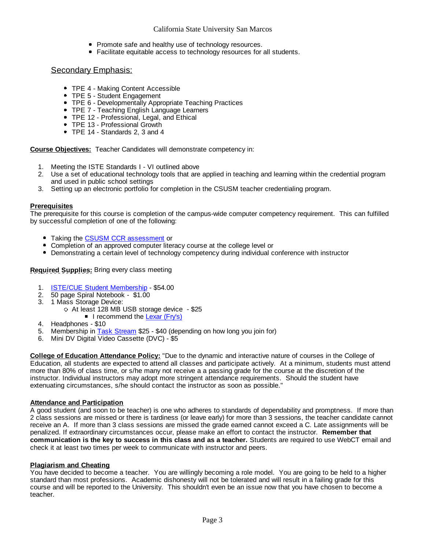- **Promote safe and healthy use of technology resources.**
- Facilitate equitable access to technology resources for all students.

## Secondary Emphasis:

- **TPE 4 Making Content Accessible**
- **TPE 5 Student Engagement**
- **TPE 6 Developmentally Appropriate Teaching Practices**
- **TPE 7 Teaching English Language Learners**
- **TPE 12 Professional, Legal, and Ethical**
- **TPE 13 Professional Growth**
- TPE 14 Standards 2, 3 and 4

**Course Objectives:** Teacher Candidates will demonstrate competency in:

- 1. Meeting the ISTE Standards I VI outlined above
- Use a set of educational technology tools that are applied in teaching and learning within the credential program 2. and used in public school settings
- Setting up an electronic portfolio for completion in the CSUSM teacher credentialing program. 3.

### **Prerequisites**

The prerequisite for this course is completion of the campus-wide computer competency requirement. This can fulfilled by successful completion of one of the following:

- Taking the CSUSM CCR assessment or
- Completion of an approved computer literacy course at the college level or
- Demonstrating a certain level of technology competency during individual conference with instructor

### **Required Supplies:** Bring every class meeting

- 1. **ISTE/CUE Student Membership \$54.00**
- 50 page Spiral Notebook \$1.00 2.
- 1 Mass Storage Device: 3.
	- At least 128 MB USB storage device \$25
	- I recommend the Lexar (Fry's)
- 4. Headphones \$10
- Membership in Task Stream \$25 \$40 (depending on how long you join for) 5.
- Mini DV Digital Video Cassette (DVC) \$5 6.

**College of Education Attendance Policy:** "Due to the dynamic and interactive nature of courses in the College of Education, all students are expected to attend all classes and participate actively. At a minimum, students must attend more than 80% of class time, or s/he many not receive a a passing grade for the course at the discretion of the instructor. Individual instructors may adopt more stringent attendance requirements. Should the student have extenuating circumstances, s/he should contact the instructor as soon as possible."

## **Attendance and Participation**

A good student (and soon to be teacher) is one who adheres to standards of dependability and promptness. If more than 2 class sessions are missed or there is tardiness (or leave early) for more than 3 sessions, the teacher candidate cannot receive an A. If more than 3 class sessions are missed the grade earned cannot exceed a C. Late assignments will be penalized. If extraordinary circumstances occur, please make an effort to contact the instructor. **Remember that communication is the key to success in this class and as a teacher.** Students are required to use WebCT email and check it at least two times per week to communicate with instructor and peers.

#### **Plagiarism and Cheating**

You have decided to become a teacher. You are willingly becoming a role model. You are going to be held to a higher standard than most professions. Academic dishonesty will not be tolerated and will result in a failing grade for this course and will be reported to the University. This shouldn't even be an issue now that you have chosen to become a teacher.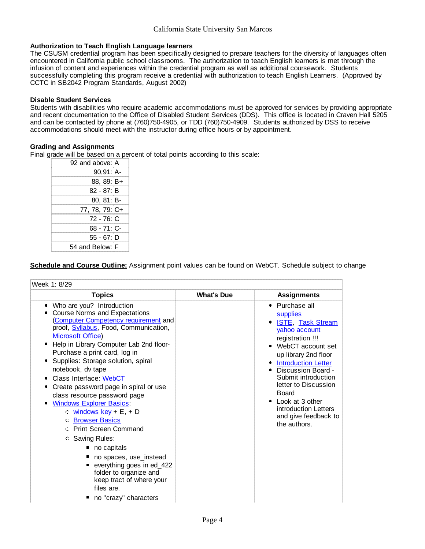### **Authorization to Teach English Language learners**

The CSUSM credential program has been specifically designed to prepare teachers for the diversity of languages often encountered in California public school classrooms. The authorization to teach English learners is met through the infusion of content and experiences within the credential program as well as additional coursework. Students successfully completing this program receive a credential with authorization to teach English Learners. (Approved by CCTC in SB2042 Program Standards, August 2002)

#### **Disable Student Services**

Students with disabilities who require academic accommodations must be approved for services by providing appropriate and recent documentation to the Office of Disabled Student Services (DDS). This office is located in Craven Hall 5205 and can be contacted by phone at (760)750-4905, or TDD (760)750-4909. Students authorized by DSS to receive accommodations should meet with the instructor during office hours or by appointment.

### **Grading and Assignments**

Final grade will be based on a percent of total points according to this scale:

| 92 and above: A |  |
|-----------------|--|
| 90,91: A-       |  |
| 88, 89: B+      |  |
| 82 - 87: B      |  |
| 80, 81: B-      |  |
| 77, 78, 79: C+  |  |
| 72 - 76: C      |  |
| 68 - 71: C-     |  |
| 55 - 67: D      |  |
| 54 and Below: F |  |

**Schedule and Course Outline:** Assignment point values can be found on WebCT. Schedule subject to change

| Week 1: 8/29                                                                                                                                                                                                                                                                                                                                                                                                                                                                                                                                                                                                                                                                                                                                                            |                   |                                                                                                                                                                                                                                                                                                                                                  |
|-------------------------------------------------------------------------------------------------------------------------------------------------------------------------------------------------------------------------------------------------------------------------------------------------------------------------------------------------------------------------------------------------------------------------------------------------------------------------------------------------------------------------------------------------------------------------------------------------------------------------------------------------------------------------------------------------------------------------------------------------------------------------|-------------------|--------------------------------------------------------------------------------------------------------------------------------------------------------------------------------------------------------------------------------------------------------------------------------------------------------------------------------------------------|
| <b>Topics</b>                                                                                                                                                                                                                                                                                                                                                                                                                                                                                                                                                                                                                                                                                                                                                           | <b>What's Due</b> | <b>Assignments</b>                                                                                                                                                                                                                                                                                                                               |
| Who are you? Introduction<br>$\blacksquare$<br><b>Course Norms and Expectations</b><br>(Computer Competency requirement and<br>proof, Syllabus, Food, Communication,<br><b>Microsoft Office)</b><br>Help in Library Computer Lab 2nd floor-<br>۰<br>Purchase a print card, log in<br>Supplies: Storage solution, spiral<br>notebook, dv tape<br>Class Interface: WebCT<br>Create password page in spiral or use<br>class resource password page<br><b>Windows Explorer Basics:</b><br>$\circ$ windows key + E, + D<br><b>Browser Basics</b><br>o Print Screen Command<br><b>C</b> Saving Rules:<br>no capitals<br>no spaces, use_instead<br>ш<br>everything goes in ed_422<br>folder to organize and<br>keep tract of where your<br>files are.<br>no "crazy" characters |                   | • Purchase all<br>supplies<br><b>ISTE, Task Stream</b><br>yahoo account<br>registration !!!<br>WebCT account set<br>up library 2nd floor<br><b>Introduction Letter</b><br>• Discussion Board -<br>Submit introduction<br>letter to Discussion<br><b>Board</b><br>Look at 3 other<br>introduction Letters<br>and give feedback to<br>the authors. |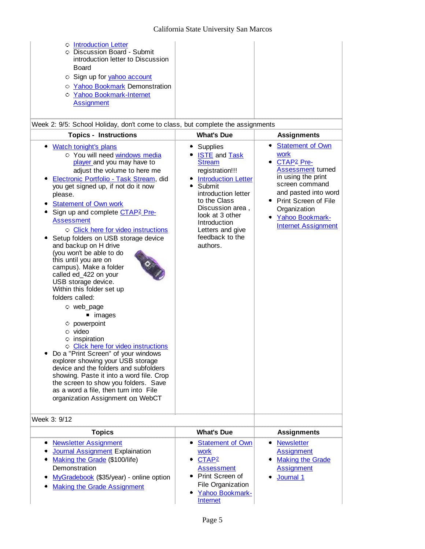**Introduction Letter** 

in using the print screen command and pasted into word Print Screen of File **Organization Yahoo Bookmark-**Internet Assignment

introduction letter to the Class Discussion area , look at 3 other Introduction Letters and give feedback to the authors.

Submit

| <b>C</b> Introduction Letter<br><b>C</b> Discussion Board - Submit<br>introduction letter to Discussion<br>Board<br><b>Sign up for vahoo account</b><br>O Yahoo Bookmark Demonstration<br><b>Nahoo Bookmark-Internet</b><br><b>Assignment</b> |                                                                        |                                                                      |
|-----------------------------------------------------------------------------------------------------------------------------------------------------------------------------------------------------------------------------------------------|------------------------------------------------------------------------|----------------------------------------------------------------------|
| Week 2: 9/5: School Holiday, don't come to class, but complete the assignments                                                                                                                                                                |                                                                        |                                                                      |
| <b>Topics - Instructions</b>                                                                                                                                                                                                                  | <b>What's Due</b>                                                      | <b>Assignments</b>                                                   |
| <b>Watch tonight's plans</b><br>o You will need windows media<br>player and you may have to<br>adjust the volume to here me                                                                                                                   | • Supplies<br><b>ISTE and Task</b><br><b>Stream</b><br>registration!!! | <b>Statement of Own</b><br>work<br>$CTAP2 Pre-$<br>Assessment turned |

- **Electronic Portfolio Task Stream, did** you get signed up, if not do it now please.
- Statement of Own work
- Sign up and complete CTAP<sup>2</sup> Pre-**Assessment** 
	- Click here for video instructions
- Setup folders on USB storage device
	- and backup on H drive (you won't be able to do this until you are on campus). Make a folder called ed\_422 on your USB storage device. Within this folder set up folders called:
- -
	- web\_page ■ images
	- powerpoint
	- video
	- inspiration
- **Click here for video instructions** Do a "Print Screen" of your windows
- explorer showing your USB storage device and the folders and subfolders showing. Paste it into a word file. Crop the screen to show you folders. Save as a word a file, then turn into File organization Assignment on WebCT

## $W$

| leek 3: 9/12                                                                                                                                                                         |                                                                                                                        |                                                                                         |
|--------------------------------------------------------------------------------------------------------------------------------------------------------------------------------------|------------------------------------------------------------------------------------------------------------------------|-----------------------------------------------------------------------------------------|
| <b>Topics</b>                                                                                                                                                                        | <b>What's Due</b>                                                                                                      | <b>Assignments</b>                                                                      |
| Rewsletter Assignment<br>Journal Assignment Explaination<br>Making the Grade (\$100/life)<br>Demonstration<br>MyGradebook (\$35/year) - online option<br>Making the Grade Assignment | Statement of Own<br>work<br>$\bullet$ CTAP <sup>2</sup><br><b>Assessment</b><br>• Print Screen of<br>File Organization | • Newsletter<br><b>Assignment</b><br>Making the Grade<br><b>Assignment</b><br>Journal 1 |
|                                                                                                                                                                                      | Yahoo Bookmark-                                                                                                        |                                                                                         |

**Internet**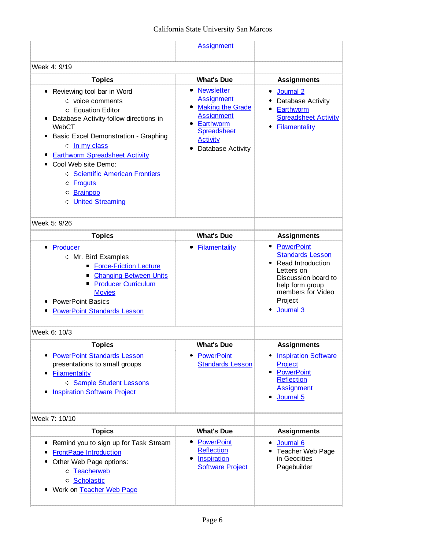# California State University San Marcos

|                                                                                                                                                                                                                                                                                                                                                                           | <b>Assignment</b>                                                                                                                                          |                                                                                                                                                                     |
|---------------------------------------------------------------------------------------------------------------------------------------------------------------------------------------------------------------------------------------------------------------------------------------------------------------------------------------------------------------------------|------------------------------------------------------------------------------------------------------------------------------------------------------------|---------------------------------------------------------------------------------------------------------------------------------------------------------------------|
| Week 4: 9/19                                                                                                                                                                                                                                                                                                                                                              |                                                                                                                                                            |                                                                                                                                                                     |
| <b>Topics</b>                                                                                                                                                                                                                                                                                                                                                             | <b>What's Due</b>                                                                                                                                          | <b>Assignments</b>                                                                                                                                                  |
| • Reviewing tool bar in Word<br>o voice comments<br><b>c</b> Equation Editor<br>Database Activity-follow directions in<br>WebCT<br><b>Basic Excel Demonstration - Graphing</b><br>In my class<br><b>Earthworm Spreadsheet Activity</b><br>Cool Web site Demo:<br><b>C</b> Scientific American Frontiers<br><b>C</b> Froguts<br><b>Brainpop</b><br><b>United Streaming</b> | <b>Newsletter</b><br><b>Assignment</b><br>Making the Grade<br><b>Assignment</b><br><b>Earthworm</b><br>Spreadsheet<br><b>Activity</b><br>Database Activity | Journal 2<br>$\bullet$<br>Database Activity<br>Earthworm<br><b>Spreadsheet Activity</b><br><b>Filamentality</b>                                                     |
| Week 5: 9/26                                                                                                                                                                                                                                                                                                                                                              |                                                                                                                                                            |                                                                                                                                                                     |
| <b>Topics</b>                                                                                                                                                                                                                                                                                                                                                             | <b>What's Due</b>                                                                                                                                          | <b>Assignments</b>                                                                                                                                                  |
| Producer<br>o Mr. Bird Examples<br><b>Force-Friction Lecture</b><br><b>Changing Between Units</b><br><b>Producer Curriculum</b><br><b>Movies</b><br><b>PowerPoint Basics</b><br><b>PowerPoint Standards Lesson</b>                                                                                                                                                        | <b>Filamentality</b><br>۰                                                                                                                                  | • PowerPoint<br><b>Standards Lesson</b><br>• Read Introduction<br>Letters on<br>Discussion board to<br>help form group<br>members for Video<br>Project<br>Journal 3 |
| Week 6: 10/3                                                                                                                                                                                                                                                                                                                                                              |                                                                                                                                                            |                                                                                                                                                                     |
| <b>Topics</b>                                                                                                                                                                                                                                                                                                                                                             | <b>What's Due</b>                                                                                                                                          | <b>Assignments</b>                                                                                                                                                  |
| <b>PowerPoint Standards Lesson</b><br>presentations to small groups<br>Filamentality<br><b>C</b> Sample Student Lessons<br><b>Inspiration Software Project</b>                                                                                                                                                                                                            | <b>PowerPoint</b><br>۰<br><b>Standards Lesson</b>                                                                                                          | <b>Inspiration Software</b><br>Project<br>• PowerPoint<br><b>Reflection</b><br><b>Assignment</b><br>Journal 5                                                       |
| Week 7: 10/10                                                                                                                                                                                                                                                                                                                                                             |                                                                                                                                                            |                                                                                                                                                                     |
| <b>Topics</b>                                                                                                                                                                                                                                                                                                                                                             | <b>What's Due</b>                                                                                                                                          | <b>Assignments</b>                                                                                                                                                  |
| Remind you to sign up for Task Stream<br><b>FrontPage Introduction</b><br>Other Web Page options:<br><b>Teacherweb</b><br>Scholastic<br>Work on Teacher Web Page                                                                                                                                                                                                          | <b>PowerPoint</b><br><b>Reflection</b><br>Inspiration<br>۰<br><b>Software Project</b>                                                                      | Journal 6<br>۰<br>Teacher Web Page<br>in Geocities<br>Pagebuilder                                                                                                   |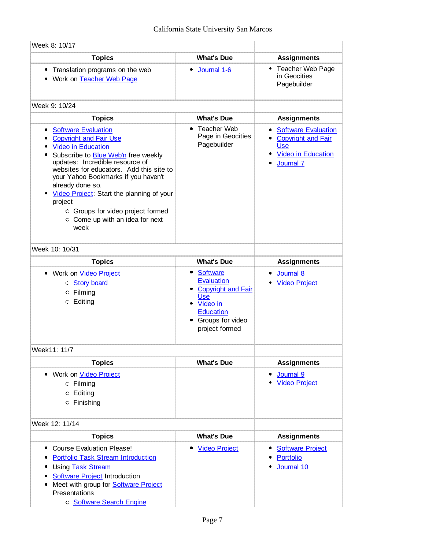| Week 8: 10/17                                                                                                                                                                                                                                                                                                                                                                                                                      |                                                                                                                        |                                                                                                   |
|------------------------------------------------------------------------------------------------------------------------------------------------------------------------------------------------------------------------------------------------------------------------------------------------------------------------------------------------------------------------------------------------------------------------------------|------------------------------------------------------------------------------------------------------------------------|---------------------------------------------------------------------------------------------------|
| <b>Topics</b>                                                                                                                                                                                                                                                                                                                                                                                                                      | <b>What's Due</b>                                                                                                      | <b>Assignments</b>                                                                                |
| • Translation programs on the web<br>Work on Teacher Web Page                                                                                                                                                                                                                                                                                                                                                                      | Journal 1-6<br>۰                                                                                                       | • Teacher Web Page<br>in Geocities<br>Pagebuilder                                                 |
| Week 9: 10/24                                                                                                                                                                                                                                                                                                                                                                                                                      |                                                                                                                        |                                                                                                   |
| <b>Topics</b>                                                                                                                                                                                                                                                                                                                                                                                                                      | <b>What's Due</b>                                                                                                      | <b>Assignments</b>                                                                                |
| <b>Software Evaluation</b><br>۰<br><b>Copyright and Fair Use</b><br><b>Video in Education</b><br>Subscribe to <b>Blue Web'n</b> free weekly<br>۰<br>updates: Incredible resource of<br>websites for educators. Add this site to<br>your Yahoo Bookmarks if you haven't<br>already done so.<br>Video Project: Start the planning of your<br>project<br>o Groups for video project formed<br>O Come up with an idea for next<br>week | <b>Teacher Web</b><br>Page in Geocities<br>Pagebuilder                                                                 | <b>Software Evaluation</b><br>Copyright and Fair<br><b>Use</b><br>Video in Education<br>Journal 7 |
| Week 10: 10/31                                                                                                                                                                                                                                                                                                                                                                                                                     |                                                                                                                        |                                                                                                   |
| <b>Topics</b>                                                                                                                                                                                                                                                                                                                                                                                                                      | <b>What's Due</b><br>• Software                                                                                        | <b>Assignments</b>                                                                                |
| <b>Work on Video Project</b><br>Story board<br>o Filming<br>o Editing                                                                                                                                                                                                                                                                                                                                                              | Evaluation<br>Copyright and Fair<br><b>Use</b><br>• Video in<br><b>Education</b><br>Groups for video<br>project formed | Journal 8<br><b>Video Project</b>                                                                 |
| Week11: 11/7                                                                                                                                                                                                                                                                                                                                                                                                                       |                                                                                                                        |                                                                                                   |
| <b>Topics</b>                                                                                                                                                                                                                                                                                                                                                                                                                      | <b>What's Due</b>                                                                                                      | <b>Assignments</b>                                                                                |
| <b>Work on Video Project</b><br>o Filming<br>o Editing<br>o Finishing                                                                                                                                                                                                                                                                                                                                                              |                                                                                                                        | Journal 9<br>α.<br><b>Video Project</b>                                                           |
| Week 12: 11/14                                                                                                                                                                                                                                                                                                                                                                                                                     |                                                                                                                        |                                                                                                   |
| <b>Topics</b>                                                                                                                                                                                                                                                                                                                                                                                                                      | <b>What's Due</b>                                                                                                      | <b>Assignments</b>                                                                                |
| <b>Course Evaluation Please!</b><br>۰<br><b>Portfolio Task Stream Introduction</b><br>Using Task Stream<br><b>Software Project Introduction</b><br>Meet with group for <b>Software Project</b><br>Presentations<br><b>O</b> Software Search Engine                                                                                                                                                                                 | <b>Video Project</b>                                                                                                   | <b>Software Project</b><br>Portfolio<br>Journal 10                                                |